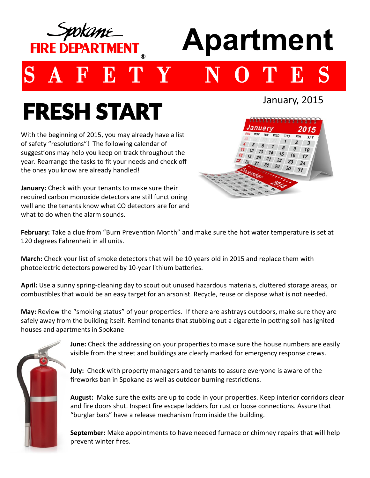

# **Apartment**

## **E T Y**

## FRESH START

With the beginning of 2015, you may already have a list subset of safety "resolutions"! The following calendar of<br>of safety "resolutions"! The following calendar of  $\frac{4}{11}$ ,  $\frac{5}{12}$ ,  $\frac{6}{13}$ of safety "resolutions"! The following calendar of year. Rearrange the tasks to fit your needs and check off the ones you know are already handled!

**January:** Check with your tenants to make sure their<br>required carbon monoxide detectors are still functioning **January:** Check with your tenants to make sure their well and the tenants know what CO detectors are for and what to do when the alarm sounds.



January, 2015

**February:** Take a clue from "Burn Prevention Month" and make sure the hot water temperature is set at 120 degrees Fahrenheit in all units.

**March:** Check your list of smoke detectors that will be 10 years old in 2015 and replace them with photoelectric detectors powered by 10-year lithium batteries.

**April:** Use a sunny spring-cleaning day to scout out unused hazardous materials, cluttered storage areas, or combustibles that would be an easy target for an arsonist. Recycle, reuse or dispose what is not needed.

**May:** Review the "smoking status" of your properties. If there are ashtrays outdoors, make sure they are safely away from the building itself. Remind tenants that stubbing out a cigarette in potting soil has ignited houses and apartments in Spokane



**June:** Check the addressing on your properties to make sure the house numbers are easily visible from the street and buildings are clearly marked for emergency response crews.

**July:** Check with property managers and tenants to assure everyone is aware of the fireworks ban in Spokane as well as outdoor burning restrictions.

**August:** Make sure the exits are up to code in your properties. Keep interior corridors clear and fire doors shut. Inspect fire escape ladders for rust or loose connections. Assure that "burglar bars" have a release mechanism from inside the building.

**September:** Make appointments to have needed furnace or chimney repairs that will help prevent winter fires.